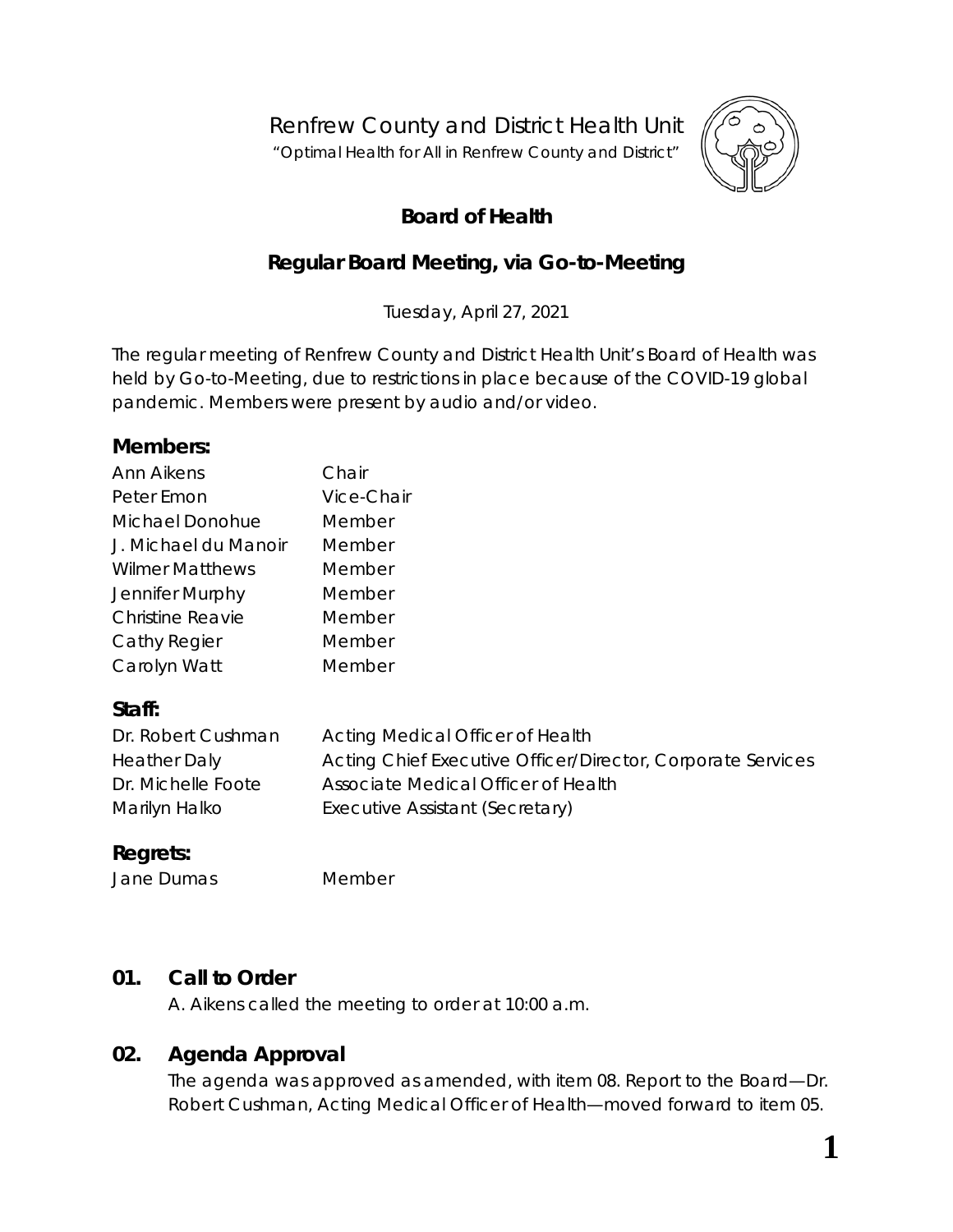Renfrew County and District Health Unit

"*Optimal Health for All in Renfrew County and District"*



**1**

# **Board of Health**

# **Regular Board Meeting, via** *Go-to-Meeting*

Tuesday, April 27, 2021

The regular meeting of Renfrew County and District Health Unit's Board of Health was held by *Go-to-Meeting,* due to restrictions in place because of the COVID-19 global pandemic. Members were present by audio and/or video.

#### **Members:**

| Ann Aikens              | Chair      |
|-------------------------|------------|
| Peter Emon              | Vice-Chair |
| Michael Donohue         | Member     |
| J. Michael du Manoir    | Member     |
| <b>Wilmer Matthews</b>  | Member     |
| Jennifer Murphy         | Member     |
| <b>Christine Reavie</b> | Member     |
| Cathy Regier            | Member     |
| Carolyn Watt            | Member     |

## **Staff:**

| Dr. Robert Cushman  | Acting Medical Officer of Health                            |
|---------------------|-------------------------------------------------------------|
| <b>Heather Daly</b> | Acting Chief Executive Officer/Director, Corporate Services |
| Dr. Michelle Foote  | Associate Medical Officer of Health                         |
| Marilyn Halko       | Executive Assistant (Secretary)                             |

# **Regrets:**

Jane Dumas Member

## **01. Call to Order**

A. Aikens called the meeting to order at 10:00 a.m.

## **02. Agenda Approval**

The agenda was approved as amended, with item 08. Report to the Board—Dr. Robert Cushman, Acting Medical Officer of Health—moved forward to item 05.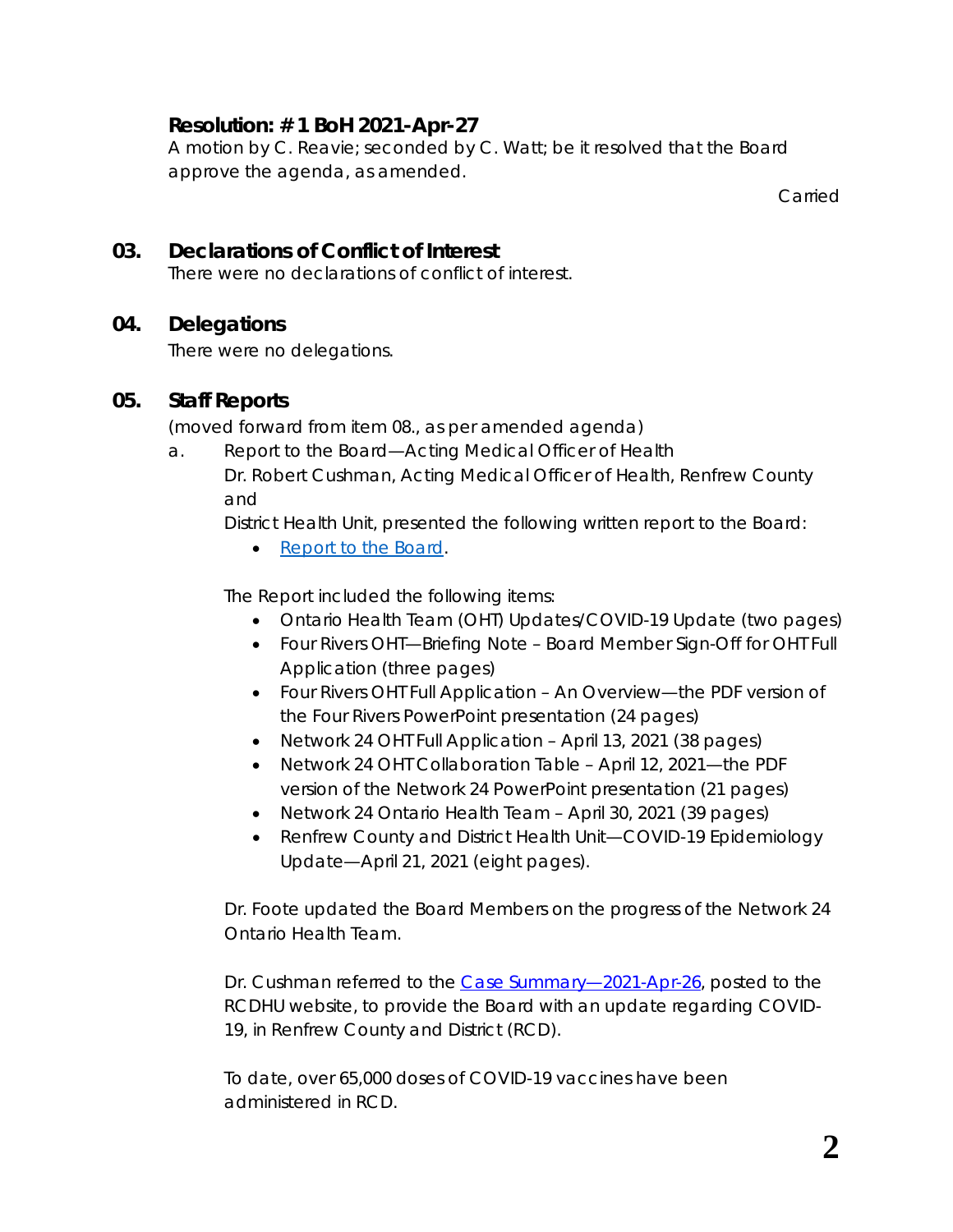## **Resolution: # 1 BoH 2021-Apr-27**

A motion by C. Reavie; seconded by C. Watt; be it resolved that the Board approve the agenda, as amended.

Carried

## **03. Declarations of Conflict of Interest**

There were no declarations of conflict of interest.

## **04. Delegations**

There were no delegations.

#### **05. Staff Reports**

(moved forward from item 08., as per amended agenda)

a. Report to the Board—Acting Medical Officer of Health Dr. Robert Cushman, Acting Medical Officer of Health, Renfrew County and

District Health Unit, presented the following written report to the Board:

• *[Report to the Board](https://www.rcdhu.com/wp-content/uploads/2021/11/08.-a.-Acting-MOH-Board-Report-with-OHT-application-added.pdf)*.

The Report included the following items:

- [Ontario Health Team \(OHT\) Updates/COVID-19 Update](http://portal.rcdhu.com/board/wp-content/uploads/2021/04/Acting-MOH-Board-Report-first-two-pages.pdf) (*two pages*)
- Four Rivers OHT[—Briefing Note Board Member Sign-Off for OHT Full](http://portal.rcdhu.com/board/wp-content/uploads/2021/04/Briefing-Note-for-Boards-of-Directors-OHT-Full-Application-FINAL.pdf) [Application](http://portal.rcdhu.com/board/wp-content/uploads/2021/04/Briefing-Note-for-Boards-of-Directors-OHT-Full-Application-FINAL.pdf) (*three pages*)
- Four Rivers [OHT Full Application](http://portal.rcdhu.com/board/wp-content/uploads/2021/04/OHT-Full-Application-information-deck-.pdf) *An Overview—*the PDF version of the Four Rivers PowerPoint presentation (*24 pages*)
- Network 24 [OHT Full Application April 13, 2021](http://portal.rcdhu.com/board/wp-content/uploads/2021/04/OHT-Full-Application-Approved-April-15-2021.pdf) (*38 pages*)
- Network 24 OHT [Collaboration Table April 12, 2021](http://portal.rcdhu.com/board/wp-content/uploads/2021/04/Network-24-Collaboration-Table-04.12-deck.pdf)*—*the PDF version of the Network 24 PowerPoint presentation (*21 pages*)
- [Network 24 Ontario Health Team April 30, 2021](http://portal.rcdhu.com/board/wp-content/uploads/2021/04/NTWK-24-Application-Consolidated-April-21-Draft.pdf) (*39 pages*)
- [Renfrew County and District Health Unit—COVID-19 Epidemiology](http://portal.rcdhu.com/board/wp-content/uploads/2021/04/COVID-19-RCDHU-Epidemiology-Update-2021-04-21-1.pdf) [Update—April 21, 2021](http://portal.rcdhu.com/board/wp-content/uploads/2021/04/COVID-19-RCDHU-Epidemiology-Update-2021-04-21-1.pdf) (*eight pages*).

Dr. Foote updated the Board Members on the progress of the Network 24 Ontario Health Team.

Dr. Cushman referred to the Case Summary-2021-Apr-26, posted to the RCDHU website, to provide the Board with an update regarding COVID-19, in Renfrew County and District (RCD).

To date, over 65,000 doses of COVID-19 vaccines have been administered in RCD.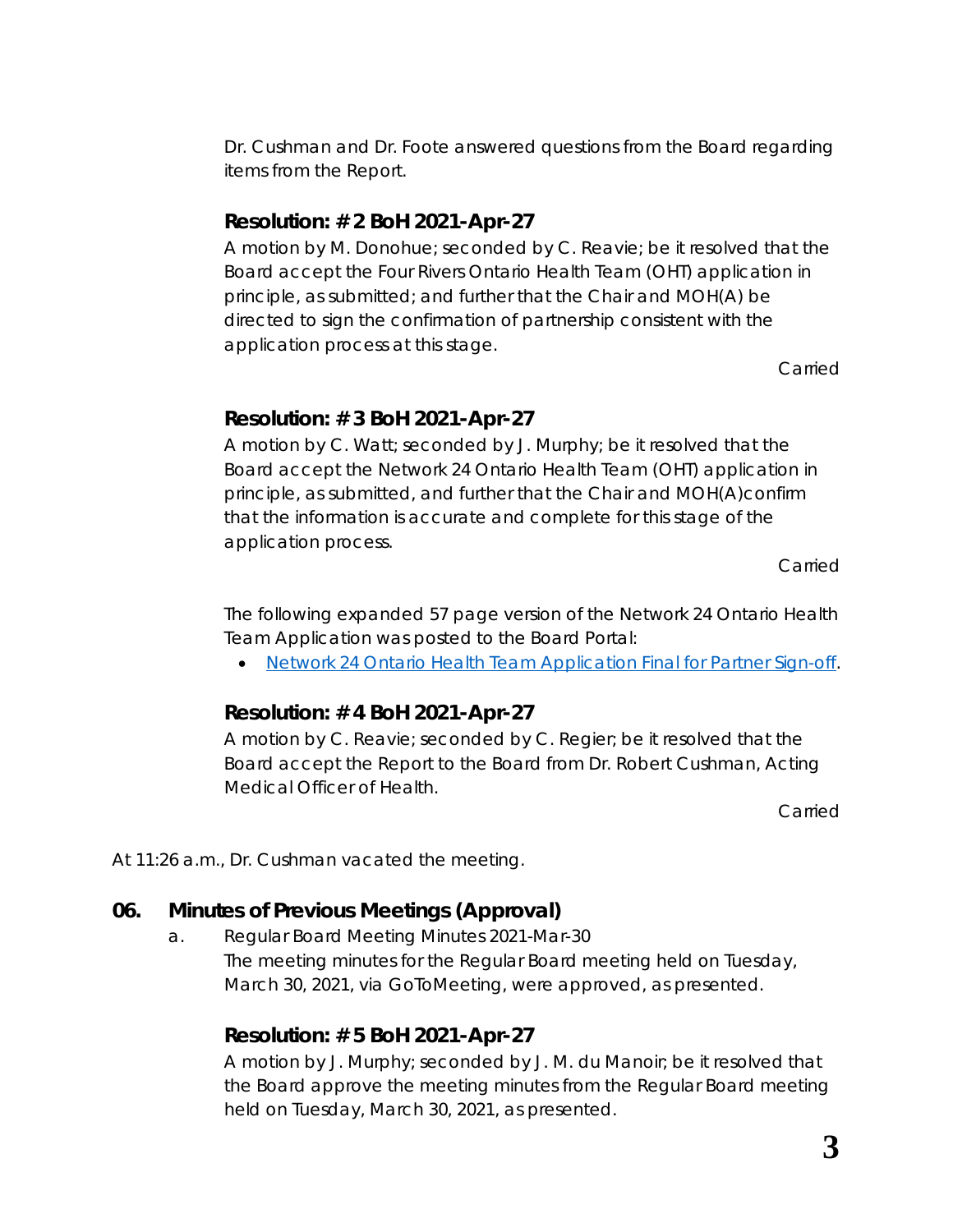Dr. Cushman and Dr. Foote answered questions from the Board regarding items from the *Report*.

#### **Resolution: # 2 BoH 2021-Apr-27**

A motion by M. Donohue; seconded by C. Reavie; be it resolved that the Board accept the Four Rivers Ontario Health Team (OHT) application in principle, as submitted; and further that the Chair and MOH(A) be directed to sign the confirmation of partnership consistent with the application process at this stage.

Carried

#### **Resolution: # 3 BoH 2021-Apr-27**

A motion by C. Watt; seconded by J. Murphy; be it resolved that the Board accept the Network 24 Ontario Health Team (OHT) application in principle, as submitted, and further that the Chair and MOH(A)confirm that the information is accurate and complete for this stage of the application process.

Carried

The following expanded 57 page version of the *Network 24 Ontario Health Team Application* was posted to the Board Portal:

• [Network 24 Ontario Health Team Application Final](https://www.rcdhu.com/wp-content/uploads/2021/11/Network-24-OHT-Application-final-for-partner-sign-off.pdf) for Partner Sign-off.

## **Resolution: # 4 BoH 2021-Apr-27**

A motion by C. Reavie; seconded by C. Regier; be it resolved that the Board accept the Report to the Board from Dr. Robert Cushman, Acting Medical Officer of Health.

Carried

At 11:26 a.m., Dr. Cushman vacated the meeting.

## **06. Minutes of Previous Meetings (Approval)**

a. Regular Board Meeting Minutes 2021-Mar-30 The meeting minutes for the Regular Board meeting held on Tuesday, March 30, 2021, via *GoToMeeting*, were approved, as presented.

## **Resolution: # 5 BoH 2021-Apr-27**

A motion by J. Murphy; seconded by J. M. du Manoir; be it resolved that the Board approve the meeting minutes from the Regular Board meeting held on Tuesday, March 30, 2021, as presented.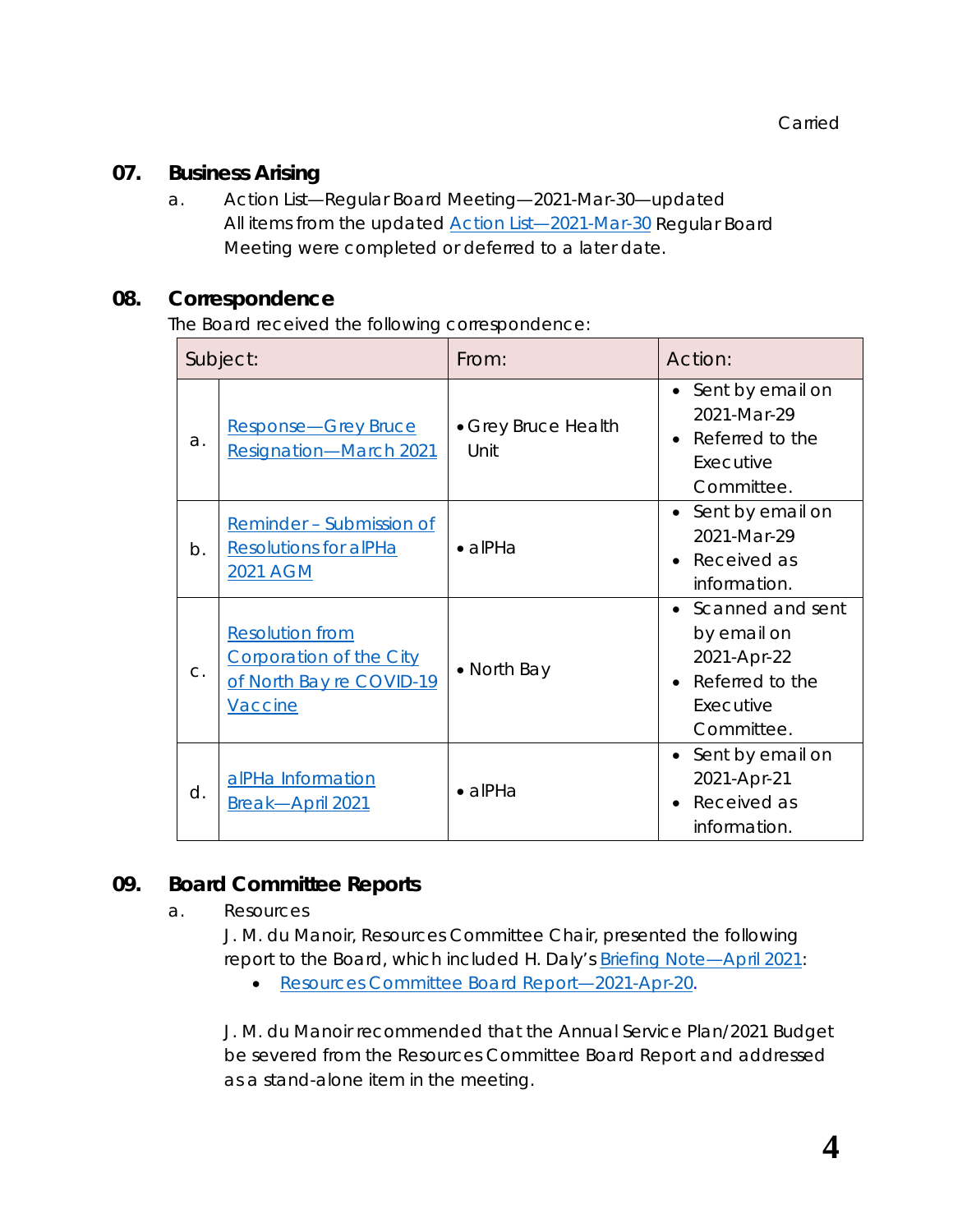#### **07. Business Arising**

a. Action List—Regular Board Meeting—2021-Mar-30—updated All items from the updated [Action List—2021-Mar-30](https://www.rcdhu.com/wp-content/uploads/2021/11/06.-a.-Action-List-Regular-Board-Meeting-2021-Mar-30-DRAFT-changes.pdf) Regular Board Meeting were completed or deferred to a later date.

#### **08. Correspondence**

The Board received the following correspondence:

| Subject: |                                                                                                 | From:                       | Action:                                                                                        |
|----------|-------------------------------------------------------------------------------------------------|-----------------------------|------------------------------------------------------------------------------------------------|
| a.       | Response-Grey Bruce<br><b>Resignation-March 2021</b>                                            | • Grey Bruce Health<br>Unit | Sent by email on<br>2021-Mar-29<br>Referred to the<br>Executive<br>Committee.                  |
| $b$ .    | Reminder - Submission of<br><b>Resolutions for alPHa</b><br>2021 AGM                            | $\bullet$ alPHa             | Sent by email on<br>2021-Mar-29<br>Received as<br>information.                                 |
| $C$ .    | <b>Resolution from</b><br><b>Corporation of the City</b><br>of North Bay re COVID-19<br>Vaccine | • North Bay                 | • Scanned and sent<br>by email on<br>2021-Apr-22<br>Referred to the<br>Executive<br>Committee. |
| d.       | alPHa Information<br>Break-April 2021                                                           | $\bullet$ alPHa             | • Sent by email on<br>2021-Apr-21<br>Received as<br>information.                               |

## **09. Board Committee Reports**

a. Resources

J. M. du Manoir, Resources Committee Chair, presented the following report to the Board, which included H. Daly's [Briefing Note—April 2021:](https://www.rcdhu.com/wp-content/uploads/2021/11/08.-a.-Briefing-Note-April-2021.pdf)

• [Resources Committee Board Report—2021-Apr-20.](https://www.rcdhu.com/wp-content/uploads/2021/11/09.-a.-Resources-Committee-Board-Report-2021-Apr-20.pdf)

J. M. du Manoir recommended that the Annual Service Plan/2021 Budget be severed from the Resources Committee Board Report and addressed as a *stand-alone* item in the meeting.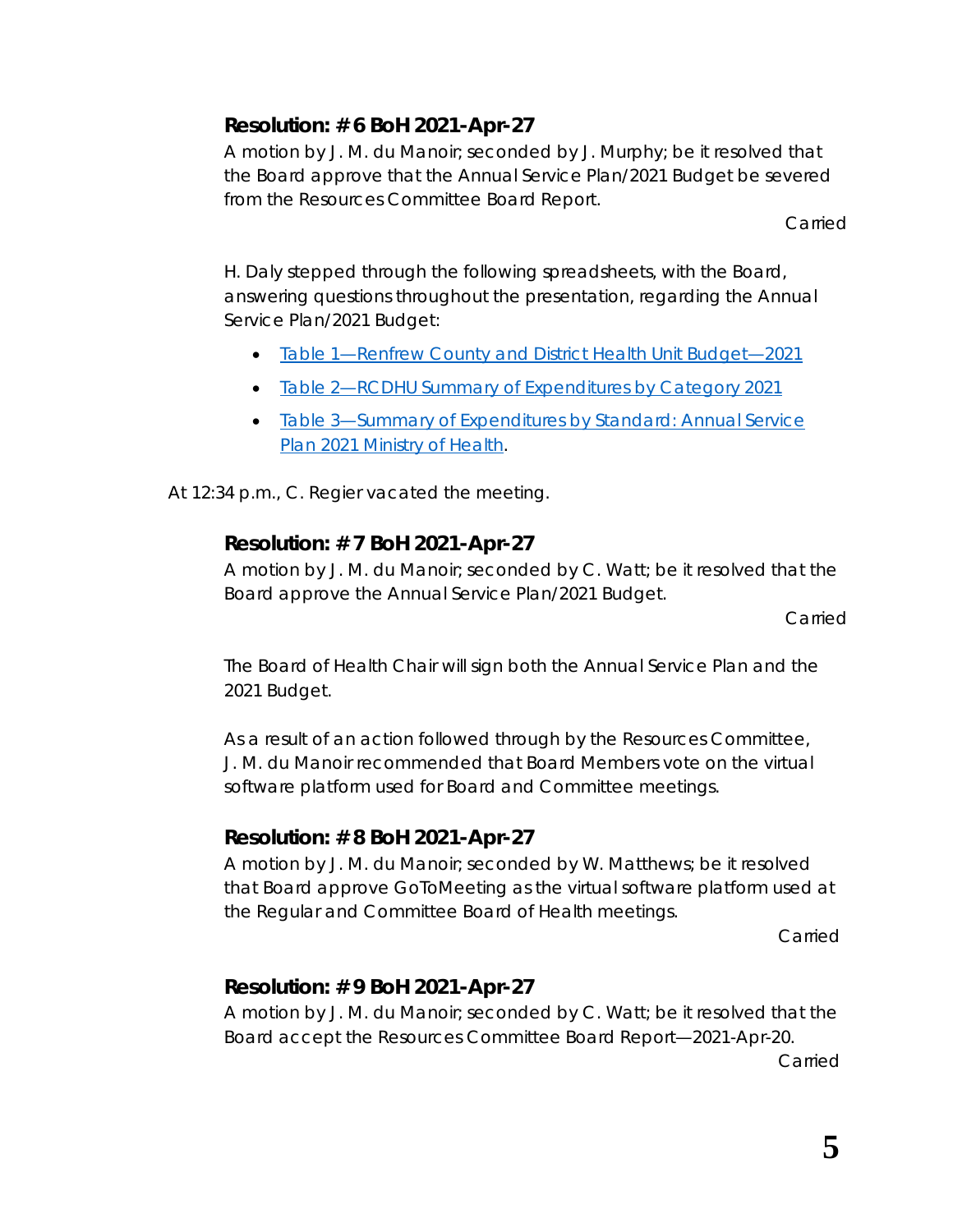# **Resolution: # 6 BoH 2021-Apr-27**

A motion by J. M. du Manoir; seconded by J. Murphy; be it resolved that the Board approve that the Annual Service Plan/2021 Budget be severed from the Resources Committee Board Report.

Carried

H. Daly stepped through the following spreadsheets, with the Board, answering questions throughout the presentation, regarding the Annual Service Plan/2021 Budget:

- [Table 1—Renfrew County and District Health Unit Budget—2021](https://www.rcdhu.com/wp-content/uploads/2021/11/Table-1.pdf)
- [Table 2—RCDHU Summary of Expenditures by Category 2021](https://www.rcdhu.com/wp-content/uploads/2021/11/Table-2.pdf)
- [Table 3—Summary of Expenditures by Standard: Annual Service](https://www.rcdhu.com/wp-content/uploads/2021/11/Table-3.pdf) [Plan 2021 Ministry of Health.](https://www.rcdhu.com/wp-content/uploads/2021/11/Table-3.pdf)

At 12:34 p.m., C. Regier vacated the meeting.

# **Resolution: # 7 BoH 2021-Apr-27**

A motion by J. M. du Manoir; seconded by C. Watt; be it resolved that the Board approve the Annual Service Plan/2021 Budget.

**Carried** 

The Board of Health Chair will sign both the Annual Service Plan and the 2021 Budget.

As a result of an action followed through by the Resources Committee, J. M. du Manoir recommended that Board Members vote on the virtual software platform used for Board and Committee meetings.

# **Resolution: # 8 BoH 2021-Apr-27**

A motion by J. M. du Manoir; seconded by W. Matthews; be it resolved that Board approve *GoToMeeting* as the virtual software platform used at the Regular and Committee Board of Health meetings.

Carried

# **Resolution: # 9 BoH 2021-Apr-27**

A motion by J. M. du Manoir; seconded by C. Watt; be it resolved that the Board accept the Resources Committee Board Report—2021-Apr-20.

Carried